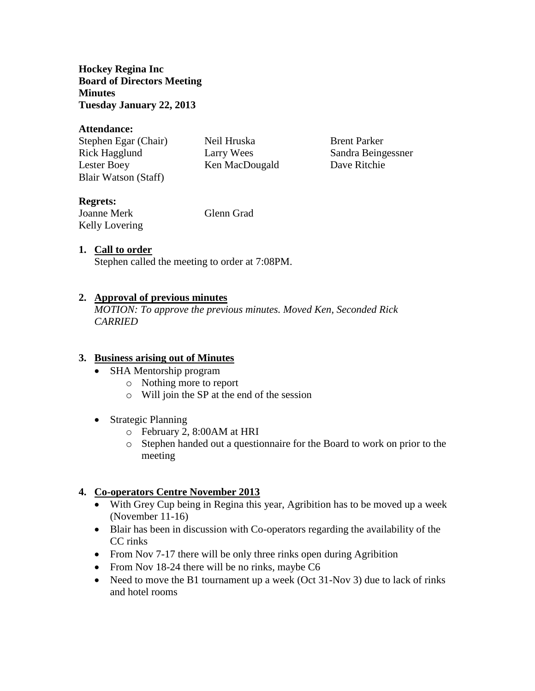**Hockey Regina Inc Board of Directors Meeting Minutes Tuesday January 22, 2013**

#### **Attendance:**

Stephen Egar (Chair) Neil Hruska Brent Parker Rick Hagglund Larry Wees Sandra Beingessner Lester Boey Ken MacDougald Dave Ritchie Blair Watson (Staff)

# **Regrets:**

Joanne Merk Glenn Grad Kelly Lovering

## **1. Call to order**

Stephen called the meeting to order at 7:08PM.

## **2. Approval of previous minutes**

*MOTION: To approve the previous minutes. Moved Ken, Seconded Rick CARRIED*

## **3. Business arising out of Minutes**

- SHA Mentorship program
	- o Nothing more to report
	- o Will join the SP at the end of the session
- Strategic Planning
	- o February 2, 8:00AM at HRI
	- o Stephen handed out a questionnaire for the Board to work on prior to the meeting

## **4. Co-operators Centre November 2013**

- With Grey Cup being in Regina this year, Agribition has to be moved up a week (November 11-16)
- Blair has been in discussion with Co-operators regarding the availability of the CC rinks
- From Nov 7-17 there will be only three rinks open during Agribition
- From Nov 18-24 there will be no rinks, maybe C6
- Need to move the B1 tournament up a week (Oct 31-Nov 3) due to lack of rinks and hotel rooms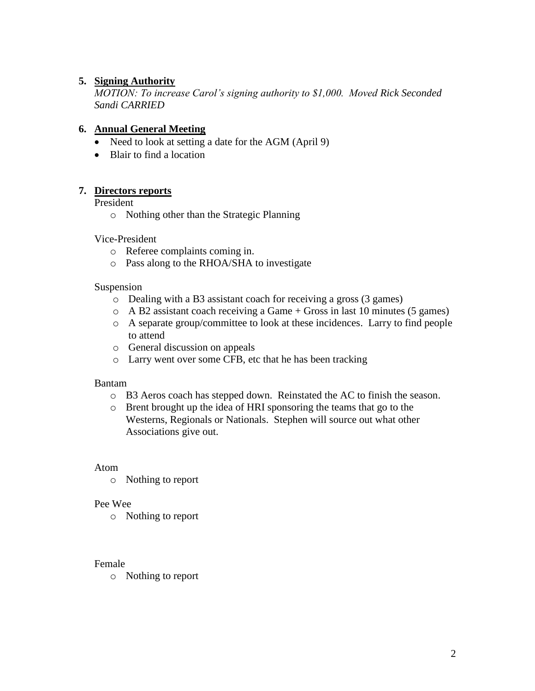## **5. Signing Authority**

*MOTION: To increase Carol's signing authority to \$1,000. Moved Rick Seconded Sandi CARRIED*

## **6. Annual General Meeting**

- Need to look at setting a date for the AGM (April 9)
- Blair to find a location

## **7. Directors reports**

### President

o Nothing other than the Strategic Planning

### Vice-President

- o Referee complaints coming in.
- o Pass along to the RHOA/SHA to investigate

#### Suspension

- o Dealing with a B3 assistant coach for receiving a gross (3 games)
- $\circ$  A B2 assistant coach receiving a Game + Gross in last 10 minutes (5 games)
- o A separate group/committee to look at these incidences. Larry to find people to attend
- o General discussion on appeals
- o Larry went over some CFB, etc that he has been tracking

### Bantam

- o B3 Aeros coach has stepped down. Reinstated the AC to finish the season.
- o Brent brought up the idea of HRI sponsoring the teams that go to the Westerns, Regionals or Nationals. Stephen will source out what other Associations give out.

#### Atom

o Nothing to report

### Pee Wee

o Nothing to report

### Female

o Nothing to report